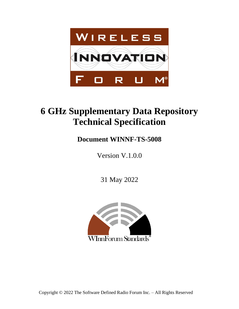

# **6 GHz Supplementary Data Repository Technical Specification**

## **Document WINNF-TS-5008**

Version V.1.0.0

31 May 2022

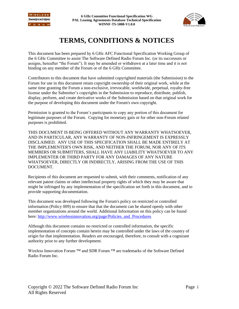

# **TERMS, CONDITIONS & NOTICES**

This document has been prepared by 6 GHz AFC Functional Specification Working Group of the 6 GHz Committee to assist The Software Defined Radio Forum Inc. (or its successors or assigns, hereafter "the Forum"). It may be amended or withdrawn at a later time and it is not binding on any member of the Forum or of the 6 GHz Committee.

Contributors to this document that have submitted copyrighted materials (the Submission) to the Forum for use in this document retain copyright ownership of their original work, while at the same time granting the Forum a non-exclusive, irrevocable, worldwide, perpetual, royalty-free license under the Submitter's copyrights in the Submission to reproduce, distribute, publish, display, perform, and create derivative works of the Submission based on that original work for the purpose of developing this document under the Forum's own copyright.

Permission is granted to the Forum's participants to copy any portion of this document for legitimate purposes of the Forum. Copying for monetary gain or for other non-Forum related purposes is prohibited.

THIS DOCUMENT IS BEING OFFERED WITHOUT ANY WARRANTY WHATSOEVER, AND IN PARTICULAR, ANY WARRANTY OF NON-INFRINGEMENT IS EXPRESSLY DISCLAIMED. ANY USE OF THIS SPECIFICATION SHALL BE MADE ENTIRELY AT THE IMPLEMENTER'S OWN RISK, AND NEITHER THE FORUM, NOR ANY OF ITS MEMBERS OR SUBMITTERS, SHALL HAVE ANY LIABILITY WHATSOEVER TO ANY IMPLEMENTER OR THIRD PARTY FOR ANY DAMAGES OF ANY NATURE WHATSOEVER, DIRECTLY OR INDIRECTLY, ARISING FROM THE USE OF THIS DOCUMENT.

Recipients of this document are requested to submit, with their comments, notification of any relevant patent claims or other intellectual property rights of which they may be aware that might be infringed by any implementation of the specification set forth in this document, and to provide supporting documentation.

This document was developed following the Forum's policy on restricted or controlled information (Policy 009) to ensure that that the document can be shared openly with other member organizations around the world. Additional Information on this policy can be found here: http://www.wirelessinnovation.org/page/Policies and Procedures

Although this document contains no restricted or controlled information, the specific implementation of concepts contain herein may be controlled under the laws of the country of origin for that implementation. Readers are encouraged, therefore, to consult with a cognizant authority prior to any further development.

Wireless Innovation Forum <sup>™</sup> and SDR Forum <sup>™</sup> are trademarks of the Software Defined Radio Forum Inc.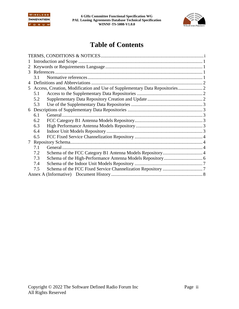



## **Table of Contents**

| $\mathbf{1}$ |     |          |  |  |
|--------------|-----|----------|--|--|
| 2            |     |          |  |  |
| 3            |     |          |  |  |
|              | 3.1 |          |  |  |
| 4            |     |          |  |  |
| 5            |     |          |  |  |
|              | 5.1 |          |  |  |
|              | 5.2 |          |  |  |
|              | 5.3 |          |  |  |
| 6            |     |          |  |  |
|              | 6.1 | General  |  |  |
|              | 6.2 |          |  |  |
|              | 6.3 |          |  |  |
|              | 6.4 |          |  |  |
|              | 6.5 |          |  |  |
| 7            |     |          |  |  |
|              | 7.1 | General. |  |  |
|              | 7.2 |          |  |  |
|              | 7.3 |          |  |  |
|              | 7.4 |          |  |  |
|              | 7.5 |          |  |  |
|              |     |          |  |  |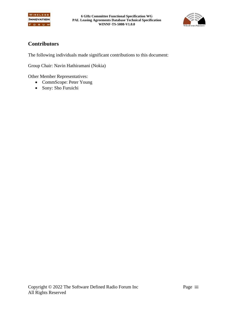

**6 GHz Committee Functional Specification WG PAL Leasing Agreements Database Technical Specification WINNF-TS-5008-V1.0.0**



#### **Contributors**

The following individuals made significant contributions to this document:

Group Chair: Navin Hathiramani (Nokia)

Other Member Representatives:

- CommScope: Peter Young
- Sony: Sho Furuichi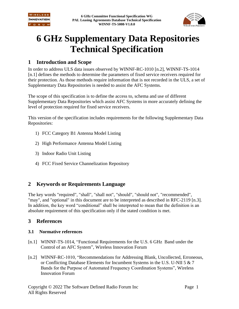

# **6 GHz Supplementary Data Repositories Technical Specification**

#### **1 Introduction and Scope**

In order to address ULS data issues observed by WINNF-RC-1010 [\[n.2\],](#page-4-0) WINNF-TS-1014 [\[n.1\]](#page-4-1) defines the methods to determine the parameters of fixed service receivers required for their protection. As those methods require information that is not recorded in the ULS, a set of Supplementary Data Repositories is needed to assist the AFC Systems.

The scope of this specification is to define the access to, schema and use of different Supplementary Data Repositories which assist AFC Systems in more accurately defining the level of protection required for fixed service receivers.

This version of the specification includes requirements for the following Supplementary Data Repositories:

- 1) FCC Category B1 Antenna Model Listing
- 2) High Performance Antenna Model Listing
- 3) Indoor Radio Unit Listing
- 4) FCC Fixed Service Channelization Repository

### **2 Keywords or Requirements Language**

The key words "required", "shall", "shall not", "should", "should not", "recommended", "may", and "optional" in this document are to be interpreted as described in RFC-2119 [\[n.3\].](#page-5-0) In addition, the key word "conditional" shall be interpreted to mean that the definition is an absolute requirement of this specification only if the stated condition is met.

#### **3 References**

#### **3.1 Normative references**

- <span id="page-4-1"></span>[n.1] WINNF-TS-1014, "Functional Requirements for the U.S. 6 GHz Band under the Control of an AFC System", Wireless Innovation Forum
- <span id="page-4-0"></span>[n.2] WINNF-RC-1010, "Recommendations for Addressing Blank, Uncollected, Erroneous, or Conflicting Database Elements for Incumbent Systems in the U.S. U-NII 5 & 7 Bands for the Purpose of Automated Frequency Coordination Systems", Wireless Innovation Forum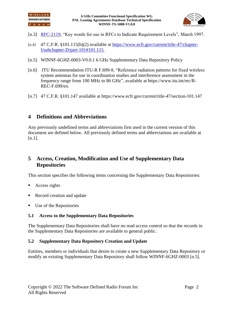

- <span id="page-5-0"></span>[n.3] [RFC-2119,](https://tools.ietf.org/html/rfc2119) "Key words for use in RFCs to Indicate Requirement Levels", March 1997.
- <span id="page-5-2"></span>[n.4] 47 C.F.R. §101.115(b)(2) available at [https://www.ecfr.gov/current/title-47/chapter-](https://www.ecfr.gov/current/title-47/chapter-I/subchapter-D/part-101#101.115)[I/subchapter-D/part-101#101.115.](https://www.ecfr.gov/current/title-47/chapter-I/subchapter-D/part-101#101.115)
- <span id="page-5-1"></span>[n.5] WINNF-6GHZ-0003-V0.0.1 6 GHz Supplementary Data Repository Policy
- <span id="page-5-3"></span>[n.6] ITU Recommendation ITU-R F.699-8, "Reference radiation patterns for fixed wireless system antennas for use in coordination studies and interference assessment in the frequency range from 100 MHz to 86 GHz", available at [https://www.itu.int/rec/R-](https://www.itu.int/rec/R-REC-F.699/en)[REC-F.699/en.](https://www.itu.int/rec/R-REC-F.699/en)
- <span id="page-5-4"></span>[n.7] 47 C.F.R. §101.147 available at https://www.ecfr.gov/current/title-47/section-101.147

#### **4 Definitions and Abbreviations**

Any previously undefined terms and abbreviations first used in the current version of this document are defined below. All previously defined terms and abbreviations are available at [\[n.1\].](#page-4-1)

### **5 Access, Creation, Modification and Use of Supplementary Data Repositories**

This section specifies the following items concerning the Supplementary Data Repositories:

- Access rights
- Record creation and update
- Use of the Repositories

#### **5.1 Access to the Supplementary Data Repositories**

The Supplementary Data Repositories shall have no read access control so that the records in the Supplementary Data Repositories are available to general public.

#### **5.2 Supplementary Data Repository Creation and Update**

Entities, members or individuals that desire to create a new Supplementary Data Repository or modify an existing Supplementary Data Repository shall follow WINNF-6GHZ-0003 [\[n.5\].](#page-5-1)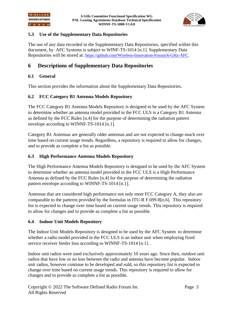

#### **5.3 Use of the Supplementary Data Repositories**

The use of any data recorded in the Supplementary Data Repositories, specified within this document, by AFC Systems is subject to WINF-TS-1014 [\[n.1\].](#page-4-1) Supplementary Data Repositories will be stored at: [https://github.com/Wireless-Innovation-Forum/6-GHz-AFC.](https://github.com/Wireless-Innovation-Forum/6-GHz-AFC)

#### **6 Descriptions of Supplementary Data Repositories**

#### **6.1 General**

This section provides the information about the Supplementary Data Repositories.

#### **6.2 FCC Category B1 Antenna Models Repository**

The FCC Category B1 Antenna Models Repository is designed to be used by the AFC System to determine whether an antenna model provided in the FCC ULS is a Category B1 Antenna as defined by the FCC Rules [\[n.4\]](#page-5-2) for the purpose of determining the radiation pattern envelope according to WINNF-TS-1014 [n.1].

Category B1 Antennas are generally older antennas and are not expected to change much over time based on current usage trends. Regardless, a repository is required to allow for changes, and to provide as complete a list as possible.

#### **6.3 High Performance Antenna Models Repository**

The High Performance Antenna Models Repository is designed to be used by the AFC System to determine whether an antenna model provided in the FCC ULS is a High Performance Antenna as defined by the FCC Rules [\[n.4\]](#page-5-2) for the purpose of determining the radiation pattern envelope according to WINNF-TS-1014 [n.1].

Antennas that are considered high performance not only meet FCC Category A, they also are comparable to the patterns provided by the formulas in ITU-R F.699-[8\[n.6\].](#page-5-3) This repository list is expected to change over time based on current usage trends. This repository is required to allow for changes and to provide as complete a list as possible.

#### **6.4 Indoor Unit Models Repository**

The Indoor Unit Models Repository is designed to be used by the AFC System to determine whether a radio model provided in the FCC ULS is an indoor unit when employing fixed service receiver feeder loss according to WINNF-TS-1014 [n.1].

Indoor unit radios were used exclusively approximately 10 years ago. Since then, outdoor unit radios that have low or no loss between the radio and antenna have become popular. Indoor unit radios, however continue to be developed and sold, so this repository list is expected to change over time based on current usage trends. This repository is required to allow for changes and to provide as complete a list as possible.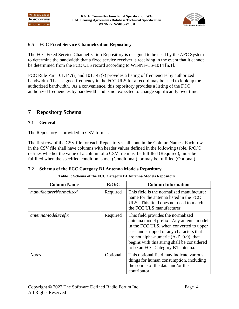

#### **6.5 FCC Fixed Service Channelization Repository**

The FCC Fixed Service Channelization Repository is designed to be used by the AFC System to determine the bandwidth that a fixed service receiver is receiving in the event that it cannot be determined from the FCC ULS record according to WINNF-TS-1014 [n.1].

FCC Rule Part 101.147(i) and 101.147(k) provides a listing of frequencies by authorized bandwidth. The assigned frequency in the FCC ULS for a record may be used to look up the authorized bandwidth. As a convenience, this repository provides a listing of the FCC authorized frequencies by bandwidth and is not expected to change significantly over time.

### **7 Repository Schema**

#### **7.1 General**

The Repository is provided in CSV format.

The first row of the CSV file for each Repository shall contain the Column Names. Each row in the CSV file shall have columns with header values defined in the following table. R/O/C defines whether the value of a column of a CSV file must be fulfilled (Required), must be fulfilled when the specified condition is met (Conditional), or may be fulfilled (Optional).

#### **7.2 Schema of the FCC Category B1 Antenna Models Repository**

| <b>Column Name</b>     | R/O/C    | <b>Column Information</b>                                                                                                                                                                                                                                                                             |
|------------------------|----------|-------------------------------------------------------------------------------------------------------------------------------------------------------------------------------------------------------------------------------------------------------------------------------------------------------|
| manufacturerNormalized | Required | This field is the normalized manufacturer<br>name for the antenna listed in the FCC<br>ULS. This field does not need to match<br>the FCC ULS manufacturer.                                                                                                                                            |
| antennaModelPrefix     | Required | This field provides the normalized<br>antenna model prefix. Any antenna model<br>in the FCC ULS, when converted to upper<br>case and stripped of any characters that<br>are not alpha-numeric $(A-Z, 0-9)$ , that<br>begins with this string shall be considered<br>to be an FCC Category B1 antenna. |
| <b>Notes</b>           | Optional | This optional field may indicate various<br>things for human consumption, including<br>the source of the data and/or the<br>contributor.                                                                                                                                                              |

#### **Table 1: Schema of the FCC Category B1 Antenna Models Repository**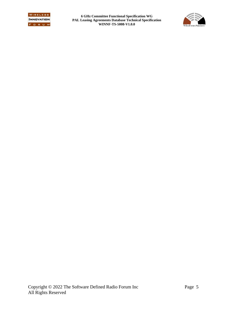

**6 GHz Committee Functional Specification WG PAL Leasing Agreements Database Technical Specification WINNF-TS-5008-V1.0.0**

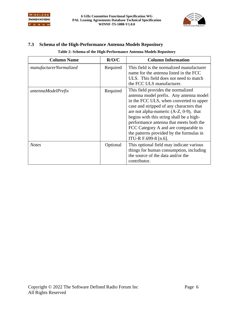



#### **7.3 Schema of the High-Performance Antenna Models Repository**

#### **Table 2: Schema of the High-Performance Antenna Models Repository**

| <b>Column Name</b>     | R/O/C    | <b>Column Information</b>                                                                                                                                                                                                                                                                                                                                                                                            |
|------------------------|----------|----------------------------------------------------------------------------------------------------------------------------------------------------------------------------------------------------------------------------------------------------------------------------------------------------------------------------------------------------------------------------------------------------------------------|
| manufacturerNormalized | Required | This field is the normalized manufacturer<br>name for the antenna listed in the FCC<br>ULS. This field does not need to match<br>the FCC ULS manufacturer.                                                                                                                                                                                                                                                           |
| antennaModelPrefix     | Required | This field provides the normalized<br>antenna model prefix. Any antenna model<br>in the FCC ULS, when converted to upper<br>case and stripped of any characters that<br>are not alpha-numeric $(A-Z, 0-9)$ , that<br>begins with this string shall be a high-<br>performance antenna that meets both the<br>FCC Category A and are comparable to<br>the patterns provided by the formulas in<br>ITU-R F.699-8 [n.6]. |
| <b>Notes</b>           | Optional | This optional field may indicate various<br>things for human consumption, including<br>the source of the data and/or the<br>contributor.                                                                                                                                                                                                                                                                             |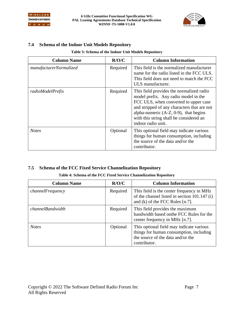



#### **7.4 Schema of the Indoor Unit Models Repository**

#### **Table 3: Schema of the Indoor Unit Models Repository**

| <b>Column Name</b>     | R/O/C    | <b>Column Information</b>                                                                                                                                                                                                                                                          |
|------------------------|----------|------------------------------------------------------------------------------------------------------------------------------------------------------------------------------------------------------------------------------------------------------------------------------------|
| manufacturerNormalized | Required | This field is the normalized manufacturer<br>name for the radio listed in the FCC ULS.<br>This field does not need to match the FCC<br>ULS manufacturer.                                                                                                                           |
| radioModelPrefix       | Required | This field provides the normalized radio<br>model prefix. Any radio model in the<br>FCC ULS, when converted to upper case<br>and stripped of any characters that are not<br>alpha-numeric (A-Z, 0-9), that begins<br>with this string shall be considered an<br>indoor radio unit. |
| <b>Notes</b>           | Optional | This optional field may indicate various<br>things for human consumption, including<br>the source of the data and/or the<br>contributor.                                                                                                                                           |

#### **7.5 Schema of the FCC Fixed Service Channelization Repository**

#### **Table 4: Schema of the FCC Fixed Service Channelization Repository**

| <b>Column Name</b> | R/O/C    | <b>Column Information</b>                                                                                                                |
|--------------------|----------|------------------------------------------------------------------------------------------------------------------------------------------|
| channelFrequency   | Required | This field is the center frequency in MHz<br>of the channel listed in section 101.147 (i)<br>and $(k)$ of the FCC Rules [n.7].           |
| channelBandwidth   | Required | This field provides the maximum<br>bandwidth based onthe FCC Rules for the<br>center frequency in MHz [n.7].                             |
| <b>Notes</b>       | Optional | This optional field may indicate various<br>things for human consumption, including<br>the source of the data and/or the<br>contributor. |